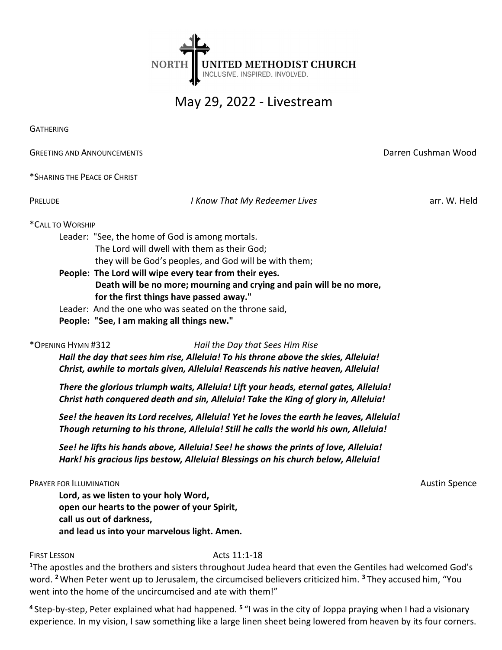

# May 29, 2022 - Livestream

**GATHERING** 

**GREETING AND ANNOUNCEMENTS CONSUMING AND ANNOUNCEMENTS DATE: Darren Cushman Wood** 

\*SHARING THE PEACE OF CHRIST

PRELUDE **I Know That My Redeemer Lives** arr. W. Held

\*CALL TO WORSHIP

Leader: "See, the home of God is among mortals.

The Lord will dwell with them as their God;

they will be God's peoples, and God will be with them;

People: The Lord will wipe every tear from their eyes. Death will be no more; mourning and crying and pain will be no more, for the first things have passed away."

Leader: And the one who was seated on the throne said,

People: "See, I am making all things new."

\*OPENING HYMN #312 Hail the Day that Sees Him Rise

Hail the day that sees him rise, Alleluia! To his throne above the skies, Alleluia! Christ, awhile to mortals given, Alleluia! Reascends his native heaven, Alleluia!

There the glorious triumph waits, Alleluia! Lift your heads, eternal gates, Alleluia! Christ hath conquered death and sin, Alleluia! Take the King of glory in, Alleluia!

See! the heaven its Lord receives, Alleluia! Yet he loves the earth he leaves, Alleluia! Though returning to his throne, Alleluia! Still he calls the world his own, Alleluia!

See! he lifts his hands above, Alleluia! See! he shows the prints of love, Alleluia! Hark! his gracious lips bestow, Alleluia! Blessings on his church below, Alleluia!

### PRAYER FOR ILLUMINATION AUSTRALIANS AND THE SERVICE OF THE SERVICE OF THE SPENCE OF THE SPENCE OF THE SPENCE OF THE SPENCE OF THE SPENCE OF THE SPENCE OF THE SPENCE OF THE SPENCE OF THE SPENCE OF THE SPENCE OF THE SPENCE O

Lord, as we listen to your holy Word, open our hearts to the power of your Spirit, call us out of darkness, and lead us into your marvelous light. Amen.

FIRST LESSON Acts 11:1-18

<sup>1</sup>The apostles and the brothers and sisters throughout Judea heard that even the Gentiles had welcomed God's word. <sup>2</sup> When Peter went up to Jerusalem, the circumcised believers criticized him. <sup>3</sup> They accused him, "You went into the home of the uncircumcised and ate with them!"

<sup>4</sup> Step-by-step, Peter explained what had happened. <sup>5</sup> "I was in the city of Joppa praying when I had a visionary experience. In my vision, I saw something like a large linen sheet being lowered from heaven by its four corners.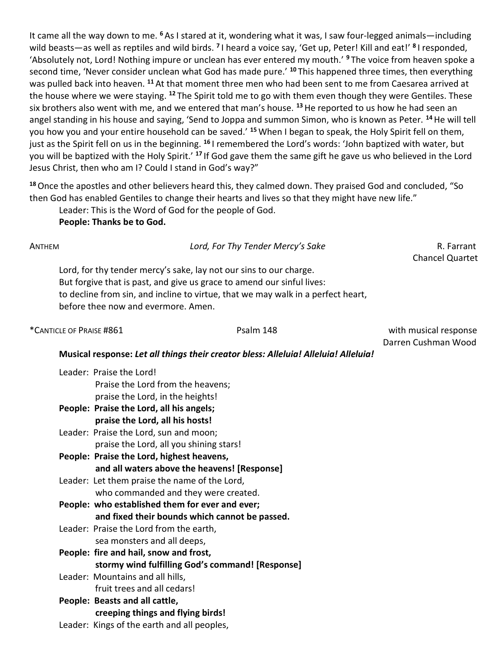It came all the way down to me. <sup>6</sup>As I stared at it, wondering what it was, I saw four-legged animals—including wild beasts—as well as reptiles and wild birds. <sup>7</sup>I heard a voice say, 'Get up, Peter! Kill and eat!' <sup>8</sup>I responded, 'Absolutely not, Lord! Nothing impure or unclean has ever entered my mouth.' <sup>9</sup> The voice from heaven spoke a second time, 'Never consider unclean what God has made pure.' <sup>10</sup> This happened three times, then everything was pulled back into heaven. <sup>11</sup> At that moment three men who had been sent to me from Caesarea arrived at the house where we were staying. <sup>12</sup> The Spirit told me to go with them even though they were Gentiles. These six brothers also went with me, and we entered that man's house. <sup>13</sup> He reported to us how he had seen an angel standing in his house and saying, 'Send to Joppa and summon Simon, who is known as Peter. <sup>14</sup> He will tell you how you and your entire household can be saved.' <sup>15</sup> When I began to speak, the Holy Spirit fell on them, just as the Spirit fell on us in the beginning. <sup>16</sup>I remembered the Lord's words: 'John baptized with water, but you will be baptized with the Holy Spirit.' <sup>17</sup> If God gave them the same gift he gave us who believed in the Lord Jesus Christ, then who am I? Could I stand in God's way?"

<sup>18</sup> Once the apostles and other believers heard this, they calmed down. They praised God and concluded, "So then God has enabled Gentiles to change their hearts and lives so that they might have new life."

Leader: This is the Word of God for the people of God.

People: Thanks be to God.

| ANTHEM |                                                                                                                                                                                                                                                                         | Lord, For Thy Tender Mercy's Sake | R. Farrant<br><b>Chancel Quartet</b>         |  |  |
|--------|-------------------------------------------------------------------------------------------------------------------------------------------------------------------------------------------------------------------------------------------------------------------------|-----------------------------------|----------------------------------------------|--|--|
|        | Lord, for thy tender mercy's sake, lay not our sins to our charge.<br>But forgive that is past, and give us grace to amend our sinful lives:<br>to decline from sin, and incline to virtue, that we may walk in a perfect heart,<br>before thee now and evermore. Amen. |                                   |                                              |  |  |
|        | *CANTICLE OF PRAISE #861                                                                                                                                                                                                                                                | Psalm 148                         | with musical response<br>Darren Cushman Wood |  |  |
|        | Musical response: Let all things their creator bless: Alleluia! Alleluia! Alleluia!                                                                                                                                                                                     |                                   |                                              |  |  |
|        | Leader: Praise the Lord!<br>Praise the Lord from the heavens;<br>praise the Lord, in the heights!                                                                                                                                                                       |                                   |                                              |  |  |
|        | People: Praise the Lord, all his angels;<br>praise the Lord, all his hosts!                                                                                                                                                                                             |                                   |                                              |  |  |

- Leader: Praise the Lord, sun and moon; praise the Lord, all you shining stars!
- People: Praise the Lord, highest heavens, and all waters above the heavens! [Response]
- Leader: Let them praise the name of the Lord, who commanded and they were created.
- People: who established them for ever and ever; and fixed their bounds which cannot be passed.
- Leader: Praise the Lord from the earth, sea monsters and all deeps, People: fire and hail, snow and frost,
- stormy wind fulfilling God's command! [Response]
- Leader: Mountains and all hills, fruit trees and all cedars!
- People: Beasts and all cattle, creeping things and flying birds!
- Leader: Kings of the earth and all peoples,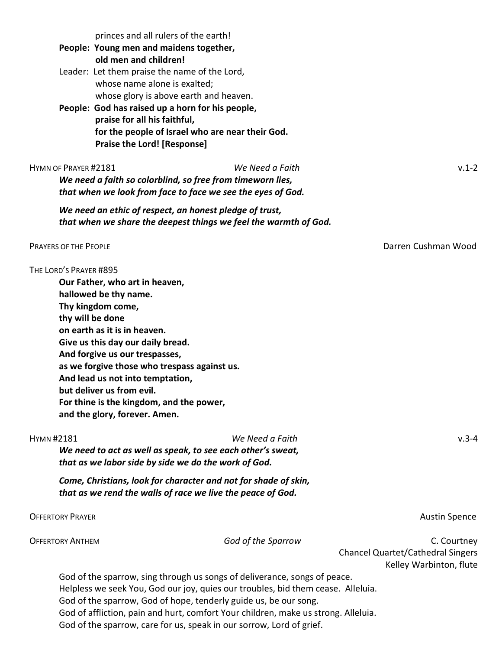| princes and all rulers of the earth!<br>People: Young men and maidens together,<br>old men and children!<br>Leader: Let them praise the name of the Lord,<br>whose name alone is exalted;<br>whose glory is above earth and heaven.<br>People: God has raised up a horn for his people,<br>praise for all his faithful,<br>for the people of Israel who are near their God.<br><b>Praise the Lord! [Response]</b>               |                    |                                                                                    |
|---------------------------------------------------------------------------------------------------------------------------------------------------------------------------------------------------------------------------------------------------------------------------------------------------------------------------------------------------------------------------------------------------------------------------------|--------------------|------------------------------------------------------------------------------------|
| HYMN OF PRAYER #2181<br>We need a faith so colorblind, so free from timeworn lies,<br>that when we look from face to face we see the eyes of God.                                                                                                                                                                                                                                                                               | We Need a Faith    | $v.1 - 2$                                                                          |
| We need an ethic of respect, an honest pledge of trust,<br>that when we share the deepest things we feel the warmth of God.                                                                                                                                                                                                                                                                                                     |                    |                                                                                    |
| <b>PRAYERS OF THE PEOPLE</b>                                                                                                                                                                                                                                                                                                                                                                                                    |                    | Darren Cushman Wood                                                                |
| THE LORD'S PRAYER #895<br>Our Father, who art in heaven,<br>hallowed be thy name.<br>Thy kingdom come,<br>thy will be done<br>on earth as it is in heaven.<br>Give us this day our daily bread.<br>And forgive us our trespasses,<br>as we forgive those who trespass against us.<br>And lead us not into temptation,<br>but deliver us from evil.<br>For thine is the kingdom, and the power,<br>and the glory, forever. Amen. |                    |                                                                                    |
| <b>HYMN#2181</b><br>We need to act as well as speak, to see each other's sweat,<br>that as we labor side by side we do the work of God.                                                                                                                                                                                                                                                                                         | We Need a Faith    | $v.3 - 4$                                                                          |
| Come, Christians, look for character and not for shade of skin,<br>that as we rend the walls of race we live the peace of God.                                                                                                                                                                                                                                                                                                  |                    |                                                                                    |
| <b>OFFERTORY PRAYER</b>                                                                                                                                                                                                                                                                                                                                                                                                         |                    | <b>Austin Spence</b>                                                               |
| <b>OFFERTORY ANTHEM</b>                                                                                                                                                                                                                                                                                                                                                                                                         | God of the Sparrow | C. Courtney<br><b>Chancel Quartet/Cathedral Singers</b><br>Kelley Warbinton, flute |

God of the sparrow, sing through us songs of deliverance, songs of peace. Helpless we seek You, God our joy, quies our troubles, bid them cease. Alleluia. God of the sparrow, God of hope, tenderly guide us, be our song. God of affliction, pain and hurt, comfort Your children, make us strong. Alleluia. God of the sparrow, care for us, speak in our sorrow, Lord of grief.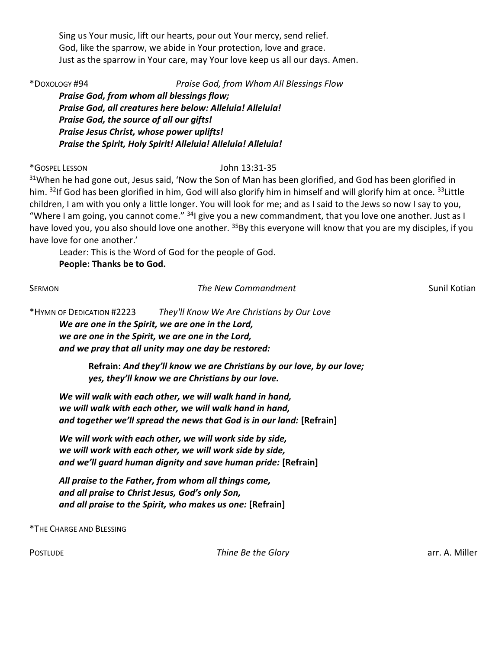Sing us Your music, lift our hearts, pour out Your mercy, send relief. God, like the sparrow, we abide in Your protection, love and grace. Just as the sparrow in Your care, may Your love keep us all our days. Amen.

\*DOXOLOGY #94 Praise God, from Whom All Blessings Flow

Praise God, from whom all blessings flow; Praise God, all creatures here below: Alleluia! Alleluia! Praise God, the source of all our gifts! Praise Jesus Christ, whose power uplifts! Praise the Spirit, Holy Spirit! Alleluia! Alleluia! Alleluia!

\*GOSPEL LESSON John 13:31-35

<sup>31</sup>When he had gone out, Jesus said, 'Now the Son of Man has been glorified, and God has been glorified in him. <sup>32</sup>If God has been glorified in him, God will also glorify him in himself and will glorify him at once. <sup>33</sup>Little children, I am with you only a little longer. You will look for me; and as I said to the Jews so now I say to you, "Where I am going, you cannot come."  $34$ I give you a new commandment, that you love one another. Just as I have loved you, you also should love one another. <sup>35</sup>By this everyone will know that you are my disciples, if you have love for one another.'

Leader: This is the Word of God for the people of God. People: Thanks be to God.

### SERMON SERMON SUNIL COMMAND The New Commandment Sunil Kotian Sunil Kotian

\*HYMN OF DEDICATION #2223 They'll Know We Are Christians by Our Love

We are one in the Spirit, we are one in the Lord, we are one in the Spirit, we are one in the Lord, and we pray that all unity may one day be restored:

> Refrain: And they'll know we are Christians by our love, by our love; yes, they'll know we are Christians by our love.

We will walk with each other, we will walk hand in hand, we will walk with each other, we will walk hand in hand, and together we'll spread the news that God is in our land: [Refrain]

We will work with each other, we will work side by side, we will work with each other, we will work side by side, and we'll guard human dignity and save human pride: [Refrain]

All praise to the Father, from whom all things come, and all praise to Christ Jesus, God's only Son, and all praise to the Spirit, who makes us one: [Refrain]

\*THE CHARGE AND BLESSING

POSTLUDE **Thine Be the Glory Thine Be the Glory arr. A. Miller**